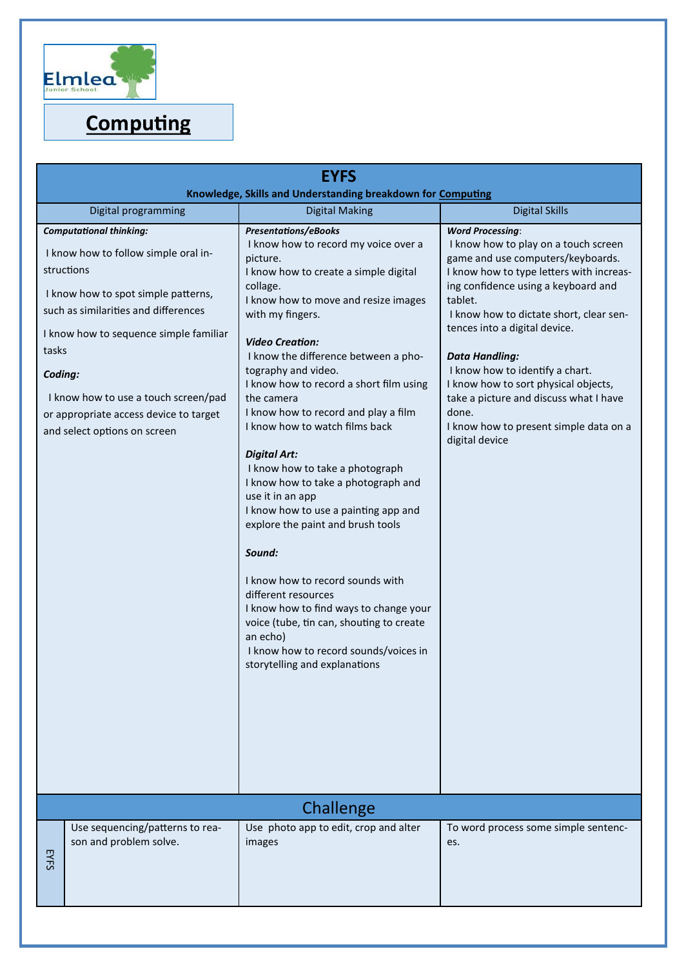

## **Computing**

| <b>EYFS</b>                                                                                                                                                                                                                                                                                                                                         |                                                                                                                                                                                                                                                                                                                                                                                                                                                                                                                                                                                                                                                                                                                                                                                                                                                                                 |                                                                                                                                                                                                                                                                                                                                                                                                                                                                                                   |  |
|-----------------------------------------------------------------------------------------------------------------------------------------------------------------------------------------------------------------------------------------------------------------------------------------------------------------------------------------------------|---------------------------------------------------------------------------------------------------------------------------------------------------------------------------------------------------------------------------------------------------------------------------------------------------------------------------------------------------------------------------------------------------------------------------------------------------------------------------------------------------------------------------------------------------------------------------------------------------------------------------------------------------------------------------------------------------------------------------------------------------------------------------------------------------------------------------------------------------------------------------------|---------------------------------------------------------------------------------------------------------------------------------------------------------------------------------------------------------------------------------------------------------------------------------------------------------------------------------------------------------------------------------------------------------------------------------------------------------------------------------------------------|--|
| Knowledge, Skills and Understanding breakdown for Computing                                                                                                                                                                                                                                                                                         |                                                                                                                                                                                                                                                                                                                                                                                                                                                                                                                                                                                                                                                                                                                                                                                                                                                                                 |                                                                                                                                                                                                                                                                                                                                                                                                                                                                                                   |  |
| Digital programming                                                                                                                                                                                                                                                                                                                                 | <b>Digital Making</b>                                                                                                                                                                                                                                                                                                                                                                                                                                                                                                                                                                                                                                                                                                                                                                                                                                                           | <b>Digital Skills</b>                                                                                                                                                                                                                                                                                                                                                                                                                                                                             |  |
| <b>Computational thinking:</b><br>I know how to follow simple oral in-<br>structions<br>I know how to spot simple patterns,<br>such as similarities and differences<br>I know how to sequence simple familiar<br>tasks<br>Coding:<br>I know how to use a touch screen/pad<br>or appropriate access device to target<br>and select options on screen | <b>Presentations/eBooks</b><br>I know how to record my voice over a<br>picture.<br>I know how to create a simple digital<br>collage.<br>I know how to move and resize images<br>with my fingers.<br><b>Video Creation:</b><br>I know the difference between a pho-<br>tography and video.<br>I know how to record a short film using<br>the camera<br>I know how to record and play a film<br>I know how to watch films back<br><b>Digital Art:</b><br>I know how to take a photograph<br>I know how to take a photograph and<br>use it in an app<br>I know how to use a painting app and<br>explore the paint and brush tools<br>Sound:<br>I know how to record sounds with<br>different resources<br>I know how to find ways to change your<br>voice (tube, tin can, shouting to create<br>an echo)<br>I know how to record sounds/voices in<br>storytelling and explanations | <b>Word Processing:</b><br>I know how to play on a touch screen<br>game and use computers/keyboards.<br>I know how to type letters with increas-<br>ing confidence using a keyboard and<br>tablet.<br>I know how to dictate short, clear sen-<br>tences into a digital device.<br><b>Data Handling:</b><br>I know how to identify a chart.<br>I know how to sort physical objects,<br>take a picture and discuss what I have<br>done.<br>I know how to present simple data on a<br>digital device |  |
| Challenge                                                                                                                                                                                                                                                                                                                                           |                                                                                                                                                                                                                                                                                                                                                                                                                                                                                                                                                                                                                                                                                                                                                                                                                                                                                 |                                                                                                                                                                                                                                                                                                                                                                                                                                                                                                   |  |
| Use sequencing/patterns to rea-<br>son and problem solve.<br>EYFS                                                                                                                                                                                                                                                                                   | Use photo app to edit, crop and alter<br>images                                                                                                                                                                                                                                                                                                                                                                                                                                                                                                                                                                                                                                                                                                                                                                                                                                 | To word process some simple sentenc-<br>es.                                                                                                                                                                                                                                                                                                                                                                                                                                                       |  |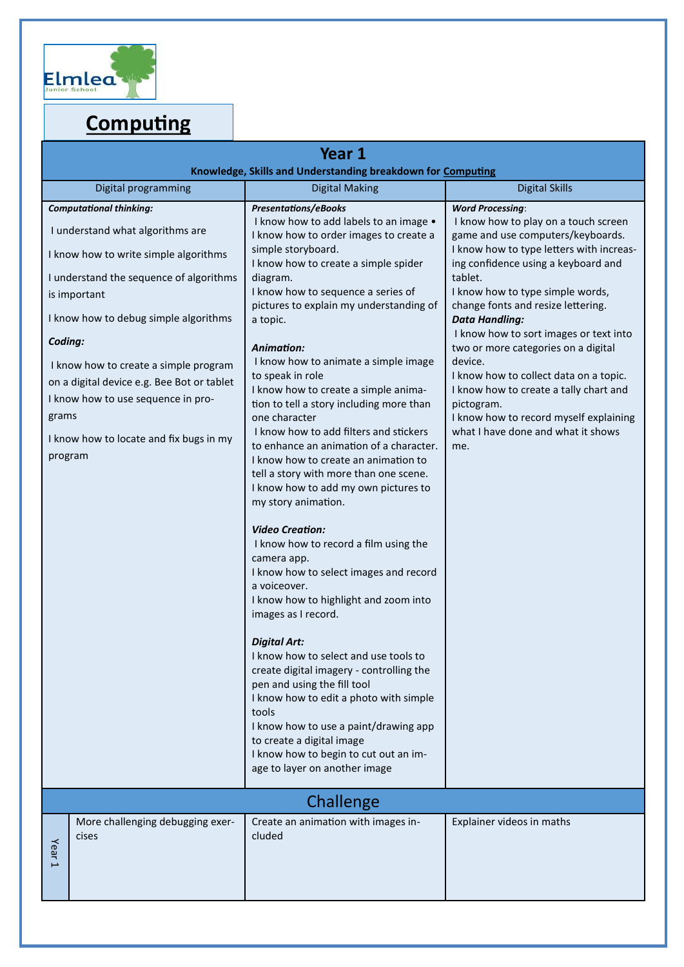

# **Computing**

| Year 1<br>Knowledge, Skills and Understanding breakdown for Computing                                                                                                                               |                                                                                                                                                                                                                                                                                                                                                                                                                                                                                                                                                                                                        |                                                                                                                                                                                                                                         |  |
|-----------------------------------------------------------------------------------------------------------------------------------------------------------------------------------------------------|--------------------------------------------------------------------------------------------------------------------------------------------------------------------------------------------------------------------------------------------------------------------------------------------------------------------------------------------------------------------------------------------------------------------------------------------------------------------------------------------------------------------------------------------------------------------------------------------------------|-----------------------------------------------------------------------------------------------------------------------------------------------------------------------------------------------------------------------------------------|--|
| Digital programming                                                                                                                                                                                 | <b>Digital Making</b>                                                                                                                                                                                                                                                                                                                                                                                                                                                                                                                                                                                  | <b>Digital Skills</b>                                                                                                                                                                                                                   |  |
| <b>Computational thinking:</b>                                                                                                                                                                      | <b>Presentations/eBooks</b>                                                                                                                                                                                                                                                                                                                                                                                                                                                                                                                                                                            | <b>Word Processing:</b>                                                                                                                                                                                                                 |  |
| I understand what algorithms are                                                                                                                                                                    | I know how to add labels to an image .<br>I know how to order images to create a                                                                                                                                                                                                                                                                                                                                                                                                                                                                                                                       | I know how to play on a touch screen<br>game and use computers/keyboards.                                                                                                                                                               |  |
| I know how to write simple algorithms                                                                                                                                                               | simple storyboard.<br>I know how to create a simple spider                                                                                                                                                                                                                                                                                                                                                                                                                                                                                                                                             | I know how to type letters with increas-<br>ing confidence using a keyboard and                                                                                                                                                         |  |
| I understand the sequence of algorithms<br>is important                                                                                                                                             | diagram.<br>I know how to sequence a series of<br>pictures to explain my understanding of                                                                                                                                                                                                                                                                                                                                                                                                                                                                                                              | tablet.<br>I know how to type simple words,<br>change fonts and resize lettering.                                                                                                                                                       |  |
| I know how to debug simple algorithms                                                                                                                                                               | a topic.                                                                                                                                                                                                                                                                                                                                                                                                                                                                                                                                                                                               | <b>Data Handling:</b><br>I know how to sort images or text into                                                                                                                                                                         |  |
| Coding:<br>I know how to create a simple program<br>on a digital device e.g. Bee Bot or tablet<br>I know how to use sequence in pro-<br>grams<br>I know how to locate and fix bugs in my<br>program | Animation:<br>I know how to animate a simple image<br>to speak in role<br>I know how to create a simple anima-<br>tion to tell a story including more than<br>one character<br>I know how to add filters and stickers<br>to enhance an animation of a character.<br>I know how to create an animation to<br>tell a story with more than one scene.<br>I know how to add my own pictures to<br>my story animation.<br><b>Video Creation:</b><br>I know how to record a film using the<br>camera app.<br>I know how to select images and record<br>a voiceover.<br>I know how to highlight and zoom into | two or more categories on a digital<br>device.<br>I know how to collect data on a topic.<br>I know how to create a tally chart and<br>pictogram.<br>I know how to record myself explaining<br>what I have done and what it shows<br>me. |  |
|                                                                                                                                                                                                     | images as I record.<br><b>Digital Art:</b><br>I know how to select and use tools to<br>create digital imagery - controlling the<br>pen and using the fill tool<br>I know how to edit a photo with simple<br>tools<br>I know how to use a paint/drawing app<br>to create a digital image<br>I know how to begin to cut out an im-<br>age to layer on another image                                                                                                                                                                                                                                      |                                                                                                                                                                                                                                         |  |
| Challenge                                                                                                                                                                                           |                                                                                                                                                                                                                                                                                                                                                                                                                                                                                                                                                                                                        |                                                                                                                                                                                                                                         |  |
| More challenging debugging exer-<br>cises<br>Year <sub>1</sub>                                                                                                                                      | Create an animation with images in-<br>cluded                                                                                                                                                                                                                                                                                                                                                                                                                                                                                                                                                          | Explainer videos in maths                                                                                                                                                                                                               |  |
|                                                                                                                                                                                                     |                                                                                                                                                                                                                                                                                                                                                                                                                                                                                                                                                                                                        |                                                                                                                                                                                                                                         |  |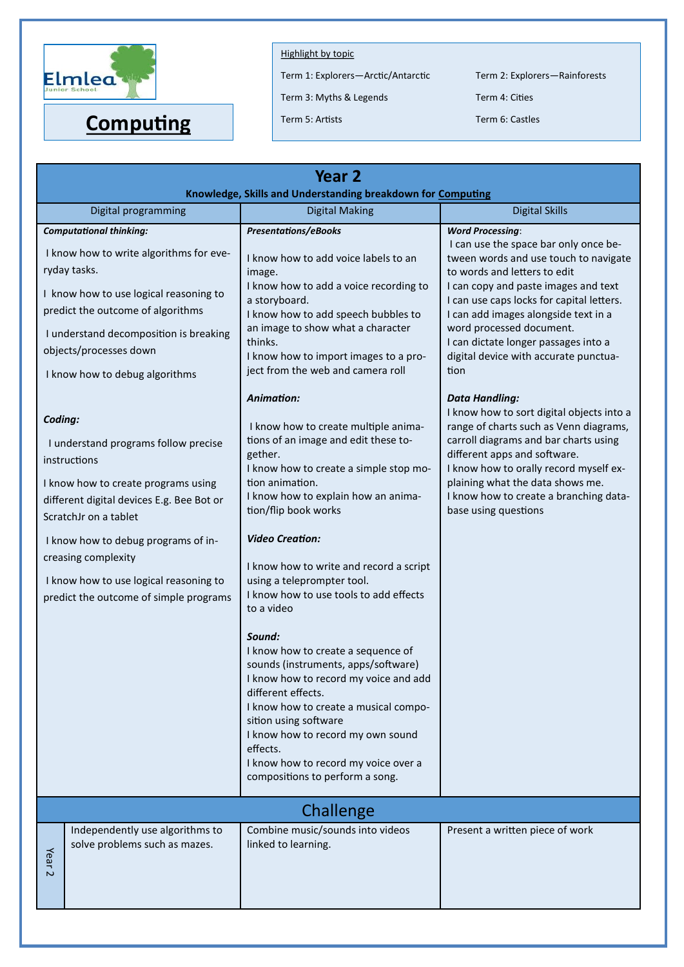

Term 1: Explorers-Arctic/Antarctic Term 2: Explorers-Rainforests

Term 3: Myths & Legends Term 4: Cities

**Computing** Term 5: Artists Term 6: Castles

| Year <sub>2</sub>                                                                                                                                                                                                                                                                                                              |                                                                                                                                                                                                                                                                                                                                                                                                                                                                                                                                                                                                                                                                                                                                                  |                                                                                                                                                                                                                                                                                                                                                                  |  |
|--------------------------------------------------------------------------------------------------------------------------------------------------------------------------------------------------------------------------------------------------------------------------------------------------------------------------------|--------------------------------------------------------------------------------------------------------------------------------------------------------------------------------------------------------------------------------------------------------------------------------------------------------------------------------------------------------------------------------------------------------------------------------------------------------------------------------------------------------------------------------------------------------------------------------------------------------------------------------------------------------------------------------------------------------------------------------------------------|------------------------------------------------------------------------------------------------------------------------------------------------------------------------------------------------------------------------------------------------------------------------------------------------------------------------------------------------------------------|--|
| Knowledge, Skills and Understanding breakdown for Computing<br><b>Digital Making</b><br><b>Digital Skills</b><br>Digital programming                                                                                                                                                                                           |                                                                                                                                                                                                                                                                                                                                                                                                                                                                                                                                                                                                                                                                                                                                                  |                                                                                                                                                                                                                                                                                                                                                                  |  |
| <b>Computational thinking:</b>                                                                                                                                                                                                                                                                                                 | <b>Presentations/eBooks</b>                                                                                                                                                                                                                                                                                                                                                                                                                                                                                                                                                                                                                                                                                                                      | <b>Word Processing:</b>                                                                                                                                                                                                                                                                                                                                          |  |
| I know how to write algorithms for eve-<br>ryday tasks.<br>I know how to use logical reasoning to<br>predict the outcome of algorithms<br>I understand decomposition is breaking<br>objects/processes down<br>I know how to debug algorithms                                                                                   | I know how to add voice labels to an<br>image.<br>I know how to add a voice recording to<br>a storyboard.<br>I know how to add speech bubbles to<br>an image to show what a character<br>thinks.<br>I know how to import images to a pro-<br>ject from the web and camera roll                                                                                                                                                                                                                                                                                                                                                                                                                                                                   | I can use the space bar only once be-<br>tween words and use touch to navigate<br>to words and letters to edit<br>I can copy and paste images and text<br>I can use caps locks for capital letters.<br>I can add images alongside text in a<br>word processed document.<br>I can dictate longer passages into a<br>digital device with accurate punctua-<br>tion |  |
| Coding:<br>I understand programs follow precise<br>instructions<br>I know how to create programs using<br>different digital devices E.g. Bee Bot or<br>ScratchJr on a tablet<br>I know how to debug programs of in-<br>creasing complexity<br>I know how to use logical reasoning to<br>predict the outcome of simple programs | Animation:<br>I know how to create multiple anima-<br>tions of an image and edit these to-<br>gether.<br>I know how to create a simple stop mo-<br>tion animation.<br>I know how to explain how an anima-<br>tion/flip book works<br><b>Video Creation:</b><br>I know how to write and record a script<br>using a teleprompter tool.<br>I know how to use tools to add effects<br>to a video<br>Sound:<br>I know how to create a sequence of<br>sounds (instruments, apps/software)<br>I know how to record my voice and add<br>different effects.<br>I know how to create a musical compo-<br>sition using software<br>I know how to record my own sound<br>effects.<br>I know how to record my voice over a<br>compositions to perform a song. | <b>Data Handling:</b><br>I know how to sort digital objects into a<br>range of charts such as Venn diagrams,<br>carroll diagrams and bar charts using<br>different apps and software.<br>I know how to orally record myself ex-<br>plaining what the data shows me.<br>I know how to create a branching data-<br>base using questions                            |  |
| Challenge                                                                                                                                                                                                                                                                                                                      |                                                                                                                                                                                                                                                                                                                                                                                                                                                                                                                                                                                                                                                                                                                                                  |                                                                                                                                                                                                                                                                                                                                                                  |  |
| Independently use algorithms to<br>solve problems such as mazes.<br>Year <sub>2</sub>                                                                                                                                                                                                                                          | Combine music/sounds into videos<br>linked to learning.                                                                                                                                                                                                                                                                                                                                                                                                                                                                                                                                                                                                                                                                                          | Present a written piece of work                                                                                                                                                                                                                                                                                                                                  |  |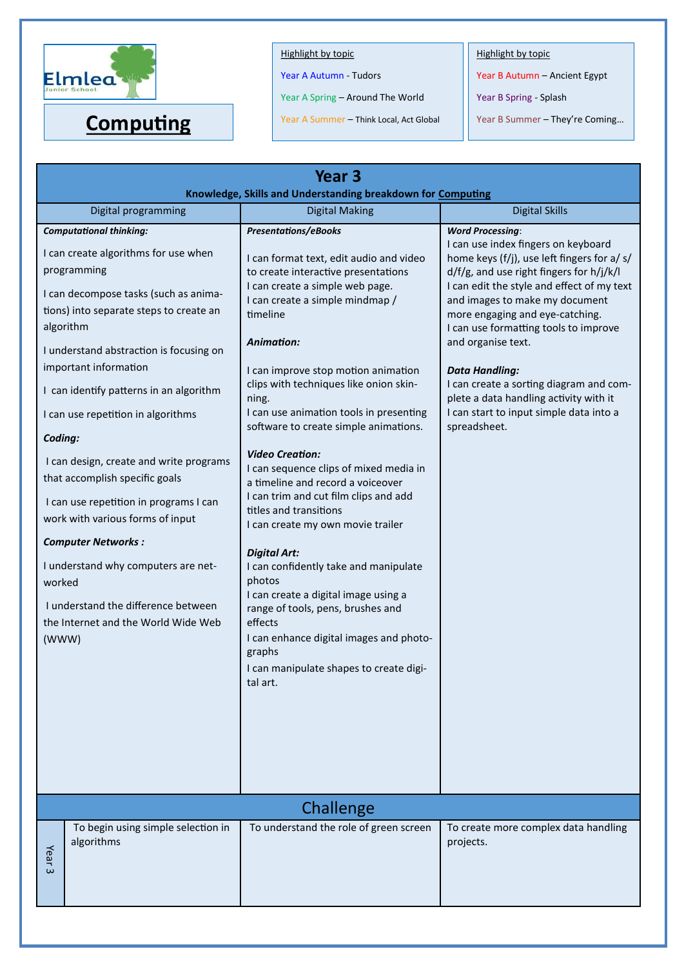

Year A Autumn - Tudors

Year A Spring – Around The World

Year A Summer – Think Local, Act Global **Computing** Year A Summer – Think Local, Act Global Year B Summer – They're Coming...

Highlight by topic

Year B Autumn – Ancient Egypt

Year B Spring - Splash

| Year <sub>3</sub><br>Knowledge, Skills and Understanding breakdown for Computing                                                                                                                                                                                                                                                                                                                                                                                                                                                                                                                                                                                                       |                                                                                                                                                                                                                                                                                                                                                                                                                                                                                                                                                                                                                                                                                                                                                                                                                                                                                            |                                                                                                                                                                                                                                                                                                                                                                                                                                                                                                                      |  |
|----------------------------------------------------------------------------------------------------------------------------------------------------------------------------------------------------------------------------------------------------------------------------------------------------------------------------------------------------------------------------------------------------------------------------------------------------------------------------------------------------------------------------------------------------------------------------------------------------------------------------------------------------------------------------------------|--------------------------------------------------------------------------------------------------------------------------------------------------------------------------------------------------------------------------------------------------------------------------------------------------------------------------------------------------------------------------------------------------------------------------------------------------------------------------------------------------------------------------------------------------------------------------------------------------------------------------------------------------------------------------------------------------------------------------------------------------------------------------------------------------------------------------------------------------------------------------------------------|----------------------------------------------------------------------------------------------------------------------------------------------------------------------------------------------------------------------------------------------------------------------------------------------------------------------------------------------------------------------------------------------------------------------------------------------------------------------------------------------------------------------|--|
| Digital programming                                                                                                                                                                                                                                                                                                                                                                                                                                                                                                                                                                                                                                                                    | <b>Digital Making</b>                                                                                                                                                                                                                                                                                                                                                                                                                                                                                                                                                                                                                                                                                                                                                                                                                                                                      | <b>Digital Skills</b>                                                                                                                                                                                                                                                                                                                                                                                                                                                                                                |  |
| <b>Computational thinking:</b><br>I can create algorithms for use when<br>programming<br>I can decompose tasks (such as anima-<br>tions) into separate steps to create an<br>algorithm<br>I understand abstraction is focusing on<br>important information<br>I can identify patterns in an algorithm<br>I can use repetition in algorithms<br>Coding:<br>I can design, create and write programs<br>that accomplish specific goals<br>I can use repetition in programs I can<br>work with various forms of input<br><b>Computer Networks:</b><br>I understand why computers are net-<br>worked<br>I understand the difference between<br>the Internet and the World Wide Web<br>(WWW) | <b>Presentations/eBooks</b><br>I can format text, edit audio and video<br>to create interactive presentations<br>I can create a simple web page.<br>I can create a simple mindmap /<br>timeline<br>Animation:<br>I can improve stop motion animation<br>clips with techniques like onion skin-<br>ning.<br>I can use animation tools in presenting<br>software to create simple animations.<br><b>Video Creation:</b><br>I can sequence clips of mixed media in<br>a timeline and record a voiceover<br>I can trim and cut film clips and add<br>titles and transitions<br>I can create my own movie trailer<br><b>Digital Art:</b><br>I can confidently take and manipulate<br>photos<br>I can create a digital image using a<br>range of tools, pens, brushes and<br>effects<br>I can enhance digital images and photo-<br>graphs<br>I can manipulate shapes to create digi-<br>tal art. | <b>Word Processing:</b><br>I can use index fingers on keyboard<br>home keys (f/j), use left fingers for a/ s/<br>d/f/g, and use right fingers for h/j/k/l<br>I can edit the style and effect of my text<br>and images to make my document<br>more engaging and eye-catching.<br>I can use formatting tools to improve<br>and organise text.<br><b>Data Handling:</b><br>I can create a sorting diagram and com-<br>plete a data handling activity with it<br>I can start to input simple data into a<br>spreadsheet. |  |
| Challenge                                                                                                                                                                                                                                                                                                                                                                                                                                                                                                                                                                                                                                                                              |                                                                                                                                                                                                                                                                                                                                                                                                                                                                                                                                                                                                                                                                                                                                                                                                                                                                                            |                                                                                                                                                                                                                                                                                                                                                                                                                                                                                                                      |  |
| To begin using simple selection in<br>algorithms<br>Year <sub>3</sub>                                                                                                                                                                                                                                                                                                                                                                                                                                                                                                                                                                                                                  | To understand the role of green screen                                                                                                                                                                                                                                                                                                                                                                                                                                                                                                                                                                                                                                                                                                                                                                                                                                                     | To create more complex data handling<br>projects.                                                                                                                                                                                                                                                                                                                                                                                                                                                                    |  |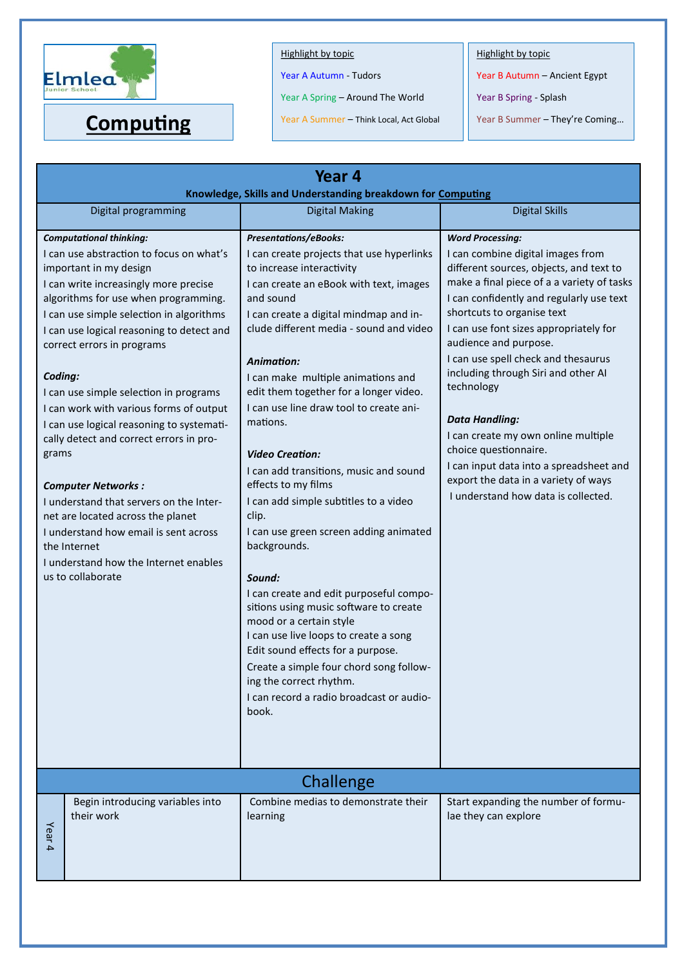

Year A Autumn - Tudors

Year A Spring – Around The World

Year A Summer – Think Local, Act Global **Computing** Year A Summer – Think Local, Act Global Year B Summer – They're Coming...

Highlight by topic

Year B Autumn – Ancient Egypt

Year B Spring - Splash

| Year 4<br>Knowledge, Skills and Understanding breakdown for Computing |                                                                                                                                                                                                                                                                                                                                                                                                                                                                                                                                                                                                                                                                                                               |                                                                                                                                                                                                                                                                                                                                                                                                                                                                                                                                                                                                                                                                                                                                                                                                                                                                                                                                                    |                                                                                                                                                                                                                                                                                                                                                                                                                                                                                                                                                                                                                   |
|-----------------------------------------------------------------------|---------------------------------------------------------------------------------------------------------------------------------------------------------------------------------------------------------------------------------------------------------------------------------------------------------------------------------------------------------------------------------------------------------------------------------------------------------------------------------------------------------------------------------------------------------------------------------------------------------------------------------------------------------------------------------------------------------------|----------------------------------------------------------------------------------------------------------------------------------------------------------------------------------------------------------------------------------------------------------------------------------------------------------------------------------------------------------------------------------------------------------------------------------------------------------------------------------------------------------------------------------------------------------------------------------------------------------------------------------------------------------------------------------------------------------------------------------------------------------------------------------------------------------------------------------------------------------------------------------------------------------------------------------------------------|-------------------------------------------------------------------------------------------------------------------------------------------------------------------------------------------------------------------------------------------------------------------------------------------------------------------------------------------------------------------------------------------------------------------------------------------------------------------------------------------------------------------------------------------------------------------------------------------------------------------|
|                                                                       | Digital programming                                                                                                                                                                                                                                                                                                                                                                                                                                                                                                                                                                                                                                                                                           | <b>Digital Making</b>                                                                                                                                                                                                                                                                                                                                                                                                                                                                                                                                                                                                                                                                                                                                                                                                                                                                                                                              | <b>Digital Skills</b>                                                                                                                                                                                                                                                                                                                                                                                                                                                                                                                                                                                             |
| Coding:<br>grams<br>the Internet                                      | <b>Computational thinking:</b><br>I can use abstraction to focus on what's<br>important in my design<br>I can write increasingly more precise<br>algorithms for use when programming.<br>I can use simple selection in algorithms<br>I can use logical reasoning to detect and<br>correct errors in programs<br>I can use simple selection in programs<br>I can work with various forms of output<br>I can use logical reasoning to systemati-<br>cally detect and correct errors in pro-<br><b>Computer Networks:</b><br>I understand that servers on the Inter-<br>net are located across the planet<br>I understand how email is sent across<br>I understand how the Internet enables<br>us to collaborate | Presentations/eBooks:<br>I can create projects that use hyperlinks<br>to increase interactivity<br>I can create an eBook with text, images<br>and sound<br>I can create a digital mindmap and in-<br>clude different media - sound and video<br><b>Animation:</b><br>I can make multiple animations and<br>edit them together for a longer video.<br>I can use line draw tool to create ani-<br>mations.<br><b>Video Creation:</b><br>I can add transitions, music and sound<br>effects to my films<br>I can add simple subtitles to a video<br>clip.<br>I can use green screen adding animated<br>backgrounds.<br>Sound:<br>I can create and edit purposeful compo-<br>sitions using music software to create<br>mood or a certain style<br>I can use live loops to create a song<br>Edit sound effects for a purpose.<br>Create a simple four chord song follow-<br>ing the correct rhythm.<br>I can record a radio broadcast or audio-<br>book. | <b>Word Processing:</b><br>I can combine digital images from<br>different sources, objects, and text to<br>make a final piece of a a variety of tasks<br>I can confidently and regularly use text<br>shortcuts to organise text<br>I can use font sizes appropriately for<br>audience and purpose.<br>I can use spell check and thesaurus<br>including through Siri and other AI<br>technology<br><b>Data Handling:</b><br>I can create my own online multiple<br>choice questionnaire.<br>I can input data into a spreadsheet and<br>export the data in a variety of ways<br>I understand how data is collected. |
| Challenge                                                             |                                                                                                                                                                                                                                                                                                                                                                                                                                                                                                                                                                                                                                                                                                               |                                                                                                                                                                                                                                                                                                                                                                                                                                                                                                                                                                                                                                                                                                                                                                                                                                                                                                                                                    |                                                                                                                                                                                                                                                                                                                                                                                                                                                                                                                                                                                                                   |
| Year 4                                                                | Begin introducing variables into<br>their work                                                                                                                                                                                                                                                                                                                                                                                                                                                                                                                                                                                                                                                                | Combine medias to demonstrate their<br>learning                                                                                                                                                                                                                                                                                                                                                                                                                                                                                                                                                                                                                                                                                                                                                                                                                                                                                                    | Start expanding the number of formu-<br>lae they can explore                                                                                                                                                                                                                                                                                                                                                                                                                                                                                                                                                      |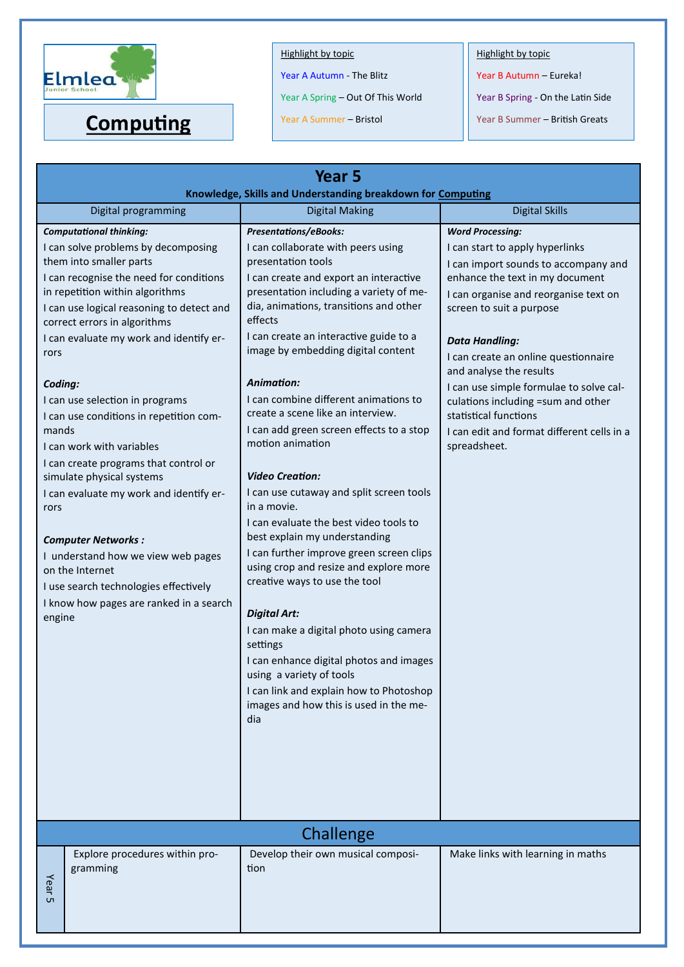

Year A Autumn - The Blitz

Year A Spring – Out Of This World

Year A Summer – Bristol

Highlight by topic

Year B Autumn – Eureka!

Year B Spring - On the Latin Side

**Computing** Year A Summer – Bristol Year B Summer – British Greats

| Year <sub>5</sub><br>Knowledge, Skills and Understanding breakdown for Computing                                                                                                                                                                  |                                                                                                                                                                                                                                                                                                                                                                                                                                                                                                       |                                                                                                                                                                                                                                                                                                                                                                                                                                                                                                                                                                                                                                                                                                                                                                                                                                                                                                                                                                                                                        |                                                                                                                                                                                                                                                                                                                                                                                                                                                                                |
|---------------------------------------------------------------------------------------------------------------------------------------------------------------------------------------------------------------------------------------------------|-------------------------------------------------------------------------------------------------------------------------------------------------------------------------------------------------------------------------------------------------------------------------------------------------------------------------------------------------------------------------------------------------------------------------------------------------------------------------------------------------------|------------------------------------------------------------------------------------------------------------------------------------------------------------------------------------------------------------------------------------------------------------------------------------------------------------------------------------------------------------------------------------------------------------------------------------------------------------------------------------------------------------------------------------------------------------------------------------------------------------------------------------------------------------------------------------------------------------------------------------------------------------------------------------------------------------------------------------------------------------------------------------------------------------------------------------------------------------------------------------------------------------------------|--------------------------------------------------------------------------------------------------------------------------------------------------------------------------------------------------------------------------------------------------------------------------------------------------------------------------------------------------------------------------------------------------------------------------------------------------------------------------------|
|                                                                                                                                                                                                                                                   | Digital programming                                                                                                                                                                                                                                                                                                                                                                                                                                                                                   | <b>Digital Making</b>                                                                                                                                                                                                                                                                                                                                                                                                                                                                                                                                                                                                                                                                                                                                                                                                                                                                                                                                                                                                  | <b>Digital Skills</b>                                                                                                                                                                                                                                                                                                                                                                                                                                                          |
| <b>Computational thinking:</b><br>them into smaller parts<br>correct errors in algorithms<br>rors<br>Coding:<br>mands<br>I can work with variables<br>simulate physical systems<br>rors<br><b>Computer Networks:</b><br>on the Internet<br>engine | I can solve problems by decomposing<br>I can recognise the need for conditions<br>in repetition within algorithms<br>I can use logical reasoning to detect and<br>I can evaluate my work and identify er-<br>I can use selection in programs<br>I can use conditions in repetition com-<br>I can create programs that control or<br>I can evaluate my work and identify er-<br>I understand how we view web pages<br>I use search technologies effectively<br>I know how pages are ranked in a search | <b>Presentations/eBooks:</b><br>I can collaborate with peers using<br>presentation tools<br>I can create and export an interactive<br>presentation including a variety of me-<br>dia, animations, transitions and other<br>effects<br>I can create an interactive guide to a<br>image by embedding digital content<br>Animation:<br>I can combine different animations to<br>create a scene like an interview.<br>I can add green screen effects to a stop<br>motion animation<br><b>Video Creation:</b><br>I can use cutaway and split screen tools<br>in a movie.<br>I can evaluate the best video tools to<br>best explain my understanding<br>I can further improve green screen clips<br>using crop and resize and explore more<br>creative ways to use the tool<br><b>Digital Art:</b><br>I can make a digital photo using camera<br>settings<br>I can enhance digital photos and images<br>using a variety of tools<br>I can link and explain how to Photoshop<br>images and how this is used in the me-<br>dia | <b>Word Processing:</b><br>I can start to apply hyperlinks<br>I can import sounds to accompany and<br>enhance the text in my document<br>I can organise and reorganise text on<br>screen to suit a purpose<br><b>Data Handling:</b><br>I can create an online questionnaire<br>and analyse the results<br>I can use simple formulae to solve cal-<br>culations including =sum and other<br>statistical functions<br>I can edit and format different cells in a<br>spreadsheet. |
| Challenge                                                                                                                                                                                                                                         |                                                                                                                                                                                                                                                                                                                                                                                                                                                                                                       |                                                                                                                                                                                                                                                                                                                                                                                                                                                                                                                                                                                                                                                                                                                                                                                                                                                                                                                                                                                                                        |                                                                                                                                                                                                                                                                                                                                                                                                                                                                                |
| gramming<br>Year<br>UП                                                                                                                                                                                                                            | Explore procedures within pro-                                                                                                                                                                                                                                                                                                                                                                                                                                                                        | Develop their own musical composi-<br>tion                                                                                                                                                                                                                                                                                                                                                                                                                                                                                                                                                                                                                                                                                                                                                                                                                                                                                                                                                                             | Make links with learning in maths                                                                                                                                                                                                                                                                                                                                                                                                                                              |